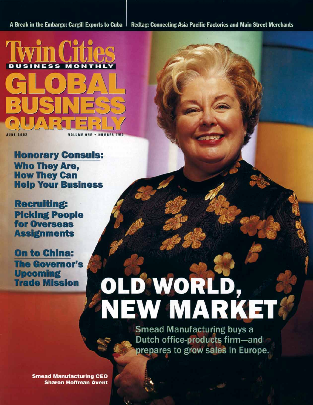A Break in the Embargo: Cargill Exports to Cuba

Redtag: Connecting Asia Pacific Factories and Main Street Merchants



**Honorary Consuls: Who They Are, How They Can Help Your Business** 

**Recruiting: Picking People** for Overseas **Assignments** 

**On to China: The Governor's Upcoming Trade Mission** 

# OLD WORLD,<br>NEW MARKET

**Smead Manufacturing buys a** Dutch office-products firm-and prepares to grow sales in Europe.

**Smead Manufacturing CEO Sharon Hoffman Avent**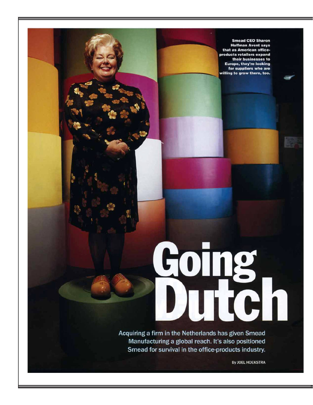**Smead CEO Sharon Hoffman Avent says** that as American officeproducts retailers expand their businesses to **Europe, they're looking** for suppliers who are willing to grow there, too.

## **Coing**<br>Dutch Ù

Acquiring a firm in the Netherlands has given Smead Manufacturing a global reach. It's also positioned Smead for survival in the office-products industry.

By JOEL HOEKSTRA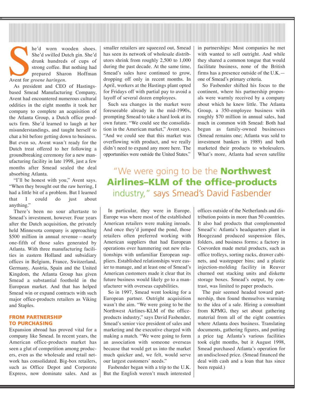Re'd worn worker of the and strong coffee. By prepared Share Avent for *groene haringen.* he'd worn wooden shoes. She'd swilled Dutch gin. She'd drunk hundreds of cups of strong coffee. But nothing had prepared Sharon Hoffman

As president and CEO of Hastingsbased Smead Manufacturing Company, Avent had encountered numerous cultural oddities in the eight months it took her company to complete an acquisition of the Atlanta Group, a Dutch office products firm. She'd learned to laugh at her misunderstandings, and taught herself to chat a bit before getting down to business. But even so, Avent wasn't ready for the Dutch treat offered to her following a groundbreaking ceremony for a new manufacturing facility in late 1998, just a few months after Smead sealed the deal absorbing Atlanta.

"I'll be honest with you," Avent says. ìWhen they brought out the raw herring, I had a little bit of a problem. But I learned that I could do just about anything."

There's been no sour aftertaste to Smead's investment, however. Four years after the Dutch acquisition, the privately held Minnesota company is approaching  $$500$  million in annual revenue — nearly one-fifth of those sales generated by Atlanta. With three manufacturing facilities in eastern Holland and subsidiary offices in Belgium, France, Switzerland, Germany, Austria, Spain and the United Kingdom, the Atlanta Group has given Smead a substantial foothold in the European market. And that has helped Smead win or expand contracts with such major office-products retailers as Viking and Staples.

### **FROM PARTNERSHIP TO PURCHASING**

Expansion abroad has proved vital for a company like Smead. In recent years, the American office-products market has seen a glut of competition among producers, even as the wholesale and retail network has consolidated. Big-box retailers, such as Office Depot and Corporate Express, now dominate sales. And as smaller retailers are squeezed out, Smead has seen its network of wholesale distributors shrink from roughly 2,500 to 1,000 during the past decade. At the same time, Smead's sales have continued to grow, dropping off only in recent months. In April, workers at the Hastings plant opted for Fridays off with partial pay to avoid a layoff of several dozen employees.

Such sea changes in the market were foreseeable already in the mid-1990s, prompting Smead to take a hard look at its own future. "We could see the consolidation in the American market," Avent says. "And we could see that this market was overflowing with product, and we really didn't need to expand any more here. The opportunities were outside the United States."

in partnerships: Most companies he met with wanted to sell outright. And while they shared a common tongue that would facilitate business, none of the British firms has a presence outside of the  $U.K.$ one of Smead's primary criteria.

So Fasbender shifted his focus to the continent, where his partnership proposals were warmly received by a company about which he knew little. The Atlanta Group, a 350-employee business with roughly \$70 million in annual sales, had much in common with Smead: Both had begun as family-owned businesses (Smead remains one; Atlanta was sold to investment bankers in 1989) and both marketed their products to wholesalers. What's more, Atlanta had seven satellite

## "We were going to be the **Northwest Airlines–KLM of the office-products** industry," says Smead's David Fasbender

In particular, they were in Europe. Europe was where most of the established American retailers were making inroads. And once they'd jumped the pond, those retailers often preferred working with American suppliers that had European operations over hammering out new relationships with unfamiliar European suppliers. Established relationships were easier to manage, and at least one of Smead's American customers made it clear that its future business would likely go to a manufacturer with overseas capabilities.

So in 1997, Smead went looking for a European partner. Outright acquisition wasn't the aim. "We were going to be the Northwest Airlines-KLM of the officeproducts industry," says David Fasbender, Smead's senior vice president of sales and marketing and the executive charged with making a match. "We were going to form an association with someone overseas because that would get us into the market much quicker and, we felt, would serve our largest customers' needs."

Fasbender began with a trip to the U.K. But the English weren't much interested

offices outside of the Netherlands and distribution points in more than 50 countries. It also had products that complemented Smead's: Atlanta's headquarters plant in Hoogezand produced suspension files, folders, and business forms; a factory in Coevorden made metal products, such as office trolleys, sorting racks, drawer cabinets, and wastepaper bins; and a plastic injection-molding facility in Reuver churned out stacking units and diskette storage boxes. Smead's output, by contrast, was limited to paper products.

The pair seemed headed toward partnership, then found themselves warming to the idea of a sale. Hiring a consultant from KPMG, they set about gathering material from all of the eight countries where Atlanta does business. Translating documents, gathering figures, and putting a price tag Atlanta's various facilities took eight months, but it August 1998, Smead purchased Atlanta's operation for an undisclosed price. (Smead financed the deal with cash and a loan that has since been repaid.)